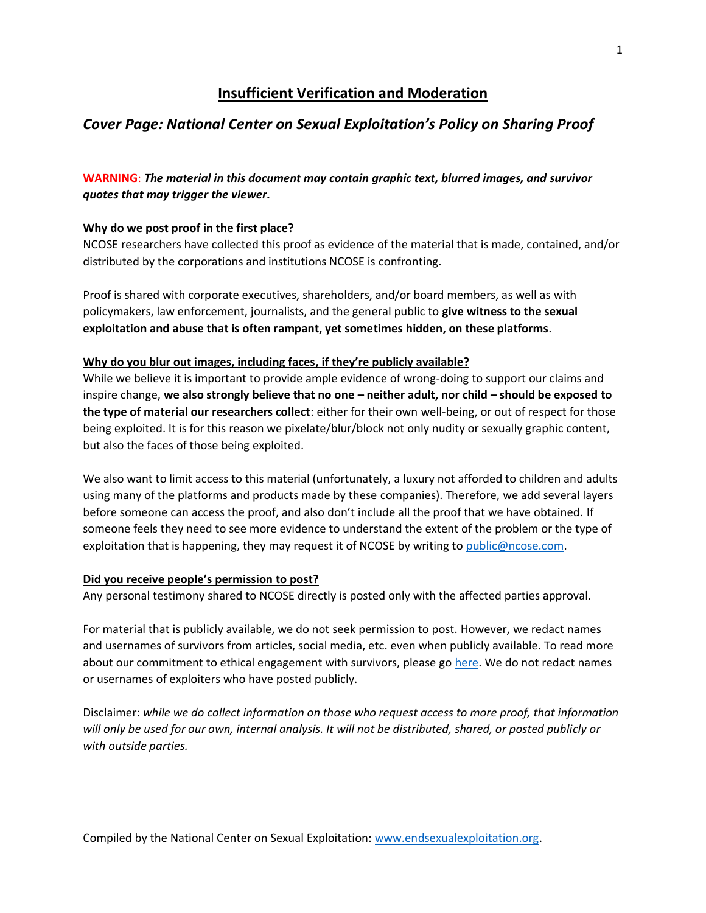# **Insufficient Verification and Moderation**

# *Cover Page: National Center on Sexual Exploitation's Policy on Sharing Proof*

## **WARNING**: *The material in this document may contain graphic text, blurred images, and survivor quotes that may trigger the viewer.*

## **Why do we post proof in the first place?**

NCOSE researchers have collected this proof as evidence of the material that is made, contained, and/or distributed by the corporations and institutions NCOSE is confronting.

Proof is shared with corporate executives, shareholders, and/or board members, as well as with policymakers, law enforcement, journalists, and the general public to **give witness to the sexual exploitation and abuse that is often rampant, yet sometimes hidden, on these platforms**.

### **Why do you blur out images, including faces, if they're publicly available?**

While we believe it is important to provide ample evidence of wrong-doing to support our claims and inspire change, **we also strongly believe that no one – neither adult, nor child – should be exposed to the type of material our researchers collect**: either for their own well-being, or out of respect for those being exploited. It is for this reason we pixelate/blur/block not only nudity or sexually graphic content, but also the faces of those being exploited.

We also want to limit access to this material (unfortunately, a luxury not afforded to children and adults using many of the platforms and products made by these companies). Therefore, we add several layers before someone can access the proof, and also don't include all the proof that we have obtained. If someone feels they need to see more evidence to understand the extent of the problem or the type of exploitation that is happening, they may request it of NCOSE by writing to [public@ncose.com.](mailto:public@ncose.com)

### **Did you receive people's permission to post?**

Any personal testimony shared to NCOSE directly is posted only with the affected parties approval.

For material that is publicly available, we do not seek permission to post. However, we redact names and usernames of survivors from articles, social media, etc. even when publicly available. To read more about our commitment to ethical engagement with survivors, please go [here.](https://endsexualexploitation.org/walking-alongside-survivors/) We do not redact names or usernames of exploiters who have posted publicly.

Disclaimer: *while we do collect information on those who request access to more proof, that information will only be used for our own, internal analysis. It will not be distributed, shared, or posted publicly or with outside parties.*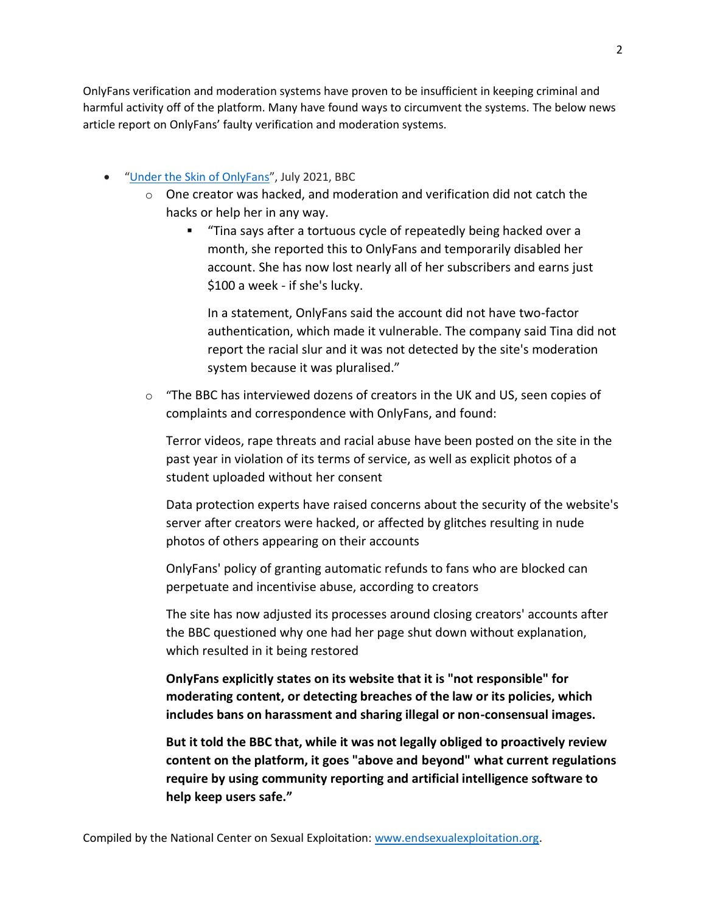OnlyFans verification and moderation systems have proven to be insufficient in keeping criminal and harmful activity off of the platform. Many have found ways to circumvent the systems. The below news article report on OnlyFans' faulty verification and moderation systems.

- "[Under the Skin of OnlyFans](https://www.bbc.com/news/uk-57269939)", July 2021, BBC
	- $\circ$  One creator was hacked, and moderation and verification did not catch the hacks or help her in any way.
		- "Tina says after a tortuous cycle of repeatedly being hacked over a month, she reported this to OnlyFans and temporarily disabled her account. She has now lost nearly all of her subscribers and earns just \$100 a week - if she's lucky.

In a statement, OnlyFans said the account did not have two-factor authentication, which made it vulnerable. The company said Tina did not report the racial slur and it was not detected by the site's moderation system because it was pluralised."

 $\circ$  "The BBC has interviewed dozens of creators in the UK and US, seen copies of complaints and correspondence with OnlyFans, and found:

Terror videos, rape threats and racial abuse have been posted on the site in the past year in violation of its terms of service, as well as explicit photos of a student uploaded without her consent

Data protection experts have raised concerns about the security of the website's server after creators were hacked, or affected by glitches resulting in nude photos of others appearing on their accounts

OnlyFans' policy of granting automatic refunds to fans who are blocked can perpetuate and incentivise abuse, according to creators

The site has now adjusted its processes around closing creators' accounts after the BBC questioned why one had her page shut down without explanation, which resulted in it being restored

**OnlyFans explicitly states on its website that it is "not responsible" for moderating content, or detecting breaches of the law or its policies, which includes bans on harassment and sharing illegal or non-consensual images.**

**But it told the BBC that, while it was not legally obliged to proactively review content on the platform, it goes "above and beyond" what current regulations require by using community reporting and artificial intelligence software to help keep users safe."**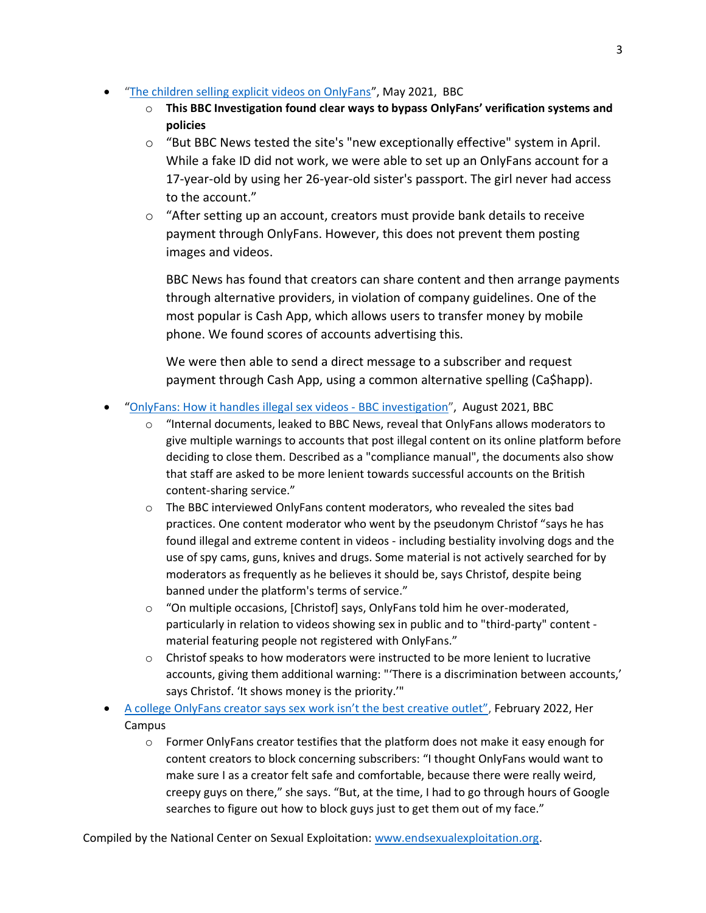- "[The children selling explicit videos on OnlyFans](https://www.bbc.com/news/uk-57255983)", May 2021, BBC
	- o **This BBC Investigation found clear ways to bypass OnlyFans' verification systems and policies**
	- $\circ$  "But BBC News tested the site's "new exceptionally effective" system in April. While a fake ID did not work, we were able to set up an OnlyFans account for a 17-year-old by using her 26-year-old sister's passport. The girl never had access to the account."
	- $\circ$  "After setting up an account, creators must provide bank details to receive payment through OnlyFans. However, this does not prevent them posting images and videos.

BBC News has found that creators can share content and then arrange payments through alternative providers, in violation of company guidelines. One of the most popular is Cash App, which allows users to transfer money by mobile phone. We found scores of accounts advertising this.

We were then able to send a direct message to a subscriber and request payment through Cash App, using a common alternative spelling (Ca\$happ).

- "[OnlyFans: How it handles illegal sex videos -](https://www.bbc.com/news/uk-58255865) BBC investigation", August 2021, BBC
	- "Internal documents, leaked to BBC News, reveal that OnlyFans allows moderators to give multiple warnings to accounts that post illegal content on its online platform before deciding to close them. Described as a "compliance manual", the documents also show that staff are asked to be more lenient towards successful accounts on the British content-sharing service."
	- $\circ$  The BBC interviewed OnlyFans content moderators, who revealed the sites bad practices. One content moderator who went by the pseudonym Christof "says he has found illegal and extreme content in videos - including bestiality involving dogs and the use of spy cams, guns, knives and drugs. Some material is not actively searched for by moderators as frequently as he believes it should be, says Christof, despite being banned under the platform's terms of service."
	- o "On multiple occasions, [Christof] says, OnlyFans told him he over-moderated, particularly in relation to videos showing sex in public and to "third-party" content material featuring people not registered with OnlyFans."
	- o Christof speaks to how moderators were instructed to be more lenient to lucrative accounts, giving them additional warning: "'There is a discrimination between accounts,' says Christof. 'It shows money is the priority.'"
- [A college OnlyFans creator says sex work isn't the best creative outlet"](https://www.hercampus.com/wellness/college-onlyfans-creator/), February 2022, Her Campus
	- $\circ$  Former OnlyFans creator testifies that the platform does not make it easy enough for content creators to block concerning subscribers: "I thought OnlyFans would want to make sure I as a creator felt safe and comfortable, because there were really weird, creepy guys on there," she says. "But, at the time, I had to go through hours of Google searches to figure out how to block guys just to get them out of my face."

Compiled by the National Center on Sexual Exploitation: [www.endsexualexploitation.org.](http://www.endsexualexploitation.org/)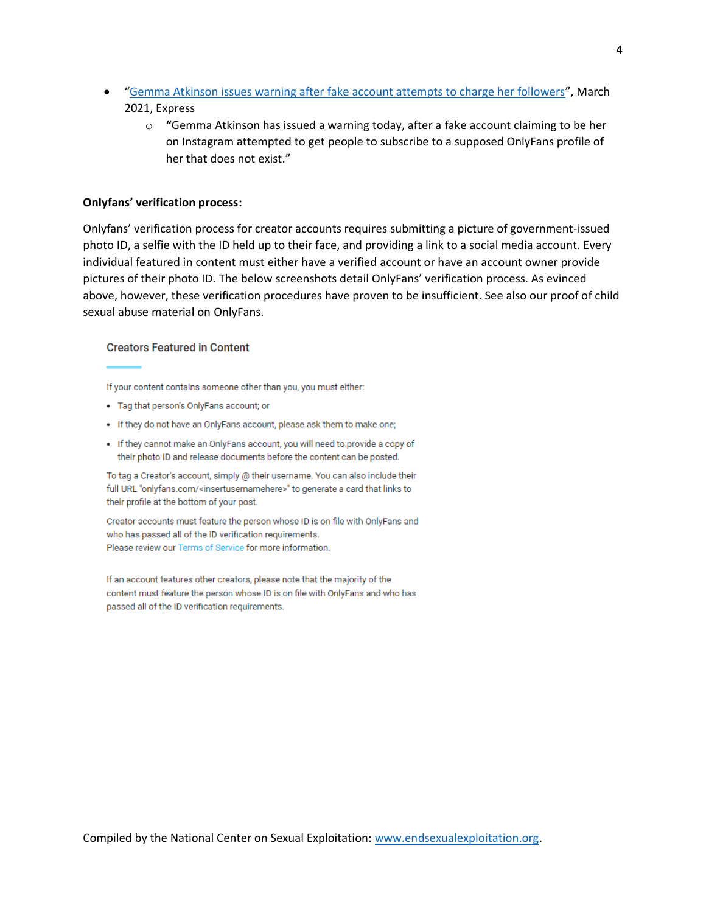- "[Gemma Atkinson issues warning after fake account attempts to charge her followers](https://www.express.co.uk/celebrity-news/1416332/gemma-Atkinson-Instagram-onlyfans-account-fake-warning-news-latest-update)", March 2021, Express
	- o **"**Gemma Atkinson has issued a warning today, after a fake account claiming to be her on Instagram attempted to get people to subscribe to a supposed OnlyFans profile of her that does not exist."

#### **Onlyfans' verification process:**

Onlyfans' verification process for creator accounts requires submitting a picture of government-issued photo ID, a selfie with the ID held up to their face, and providing a link to a social media account. Every individual featured in content must either have a verified account or have an account owner provide pictures of their photo ID. The below screenshots detail OnlyFans' verification process. As evinced above, however, these verification procedures have proven to be insufficient. See also our proof of child sexual abuse material on OnlyFans.

#### **Creators Featured in Content**

If your content contains someone other than you, you must either:

- . Tag that person's OnlyFans account; or
- . If they do not have an OnlyFans account, please ask them to make one;
- . If they cannot make an OnlyFans account, you will need to provide a copy of their photo ID and release documents before the content can be posted.

To tag a Creator's account, simply @ their username. You can also include their full URL "onlyfans.com/<insertusernamehere>" to generate a card that links to their profile at the bottom of your post.

Creator accounts must feature the person whose ID is on file with OnlyFans and who has passed all of the ID verification requirements. Please review our Terms of Service for more information.

If an account features other creators, please note that the majority of the content must feature the person whose ID is on file with OnlyFans and who has passed all of the ID verification requirements.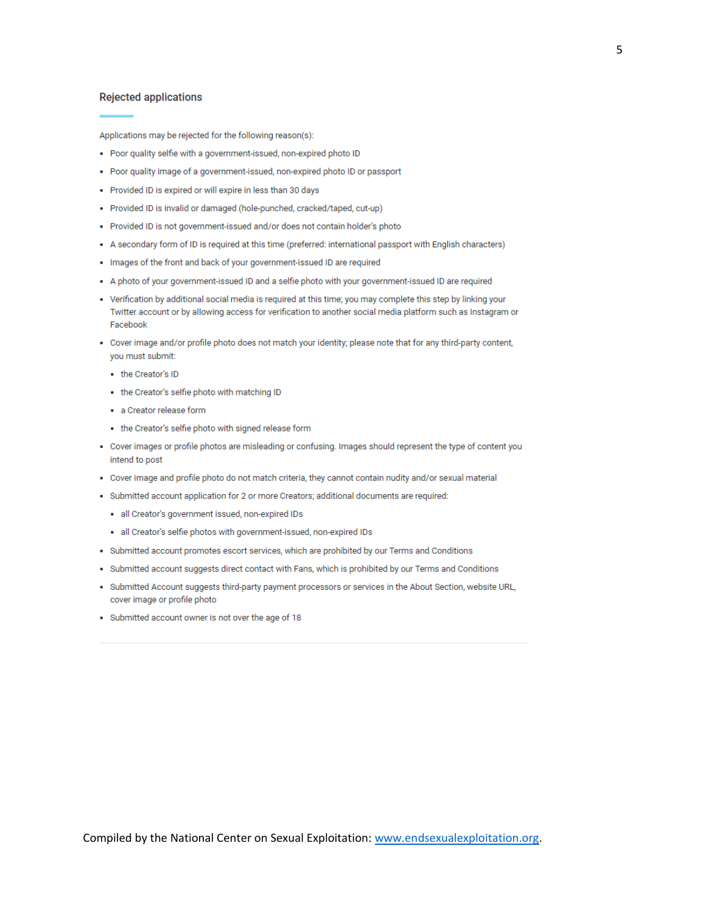#### **Rejected applications**

Applications may be rejected for the following reason(s):

- . Poor quality selfie with a government-issued, non-expired photo ID
- · Poor quality image of a government-issued, non-expired photo ID or passport
- Provided ID is expired or will expire in less than 30 days
- · Provided ID is invalid or damaged (hole-punched, cracked/taped, cut-up)
- . Provided ID is not government-issued and/or does not contain holder's photo
- . A secondary form of ID is required at this time (preferred: international passport with English characters)
- . Images of the front and back of your government-issued ID are required
- . A photo of your government-issued ID and a selfie photo with your government-issued ID are required
- Verification by additional social media is required at this time; you may complete this step by linking your Twitter account or by allowing access for verification to another social media platform such as Instagram or Facebook
- . Cover image and/or profile photo does not match your identity; please note that for any third-party content, you must submit:
	- the Creator's ID
	- . the Creator's selfie photo with matching ID
	- · a Creator release form
	- the Creator's selfie photo with signed release form
- Cover images or profile photos are misleading or confusing. Images should represent the type of content you intend to post
- . Cover image and profile photo do not match criteria, they cannot contain nudity and/or sexual material
- · Submitted account application for 2 or more Creators; additional documents are required:
	- · all Creator's government issued, non-expired IDs
	- · all Creator's selfie photos with government-issued, non-expired IDs
- · Submitted account promotes escort services, which are prohibited by our Terms and Conditions
- · Submitted account suggests direct contact with Fans, which is prohibited by our Terms and Conditions
- · Submitted Account suggests third-party payment processors or services in the About Section, website URL, cover image or profile photo
- Submitted account owner is not over the age of 18